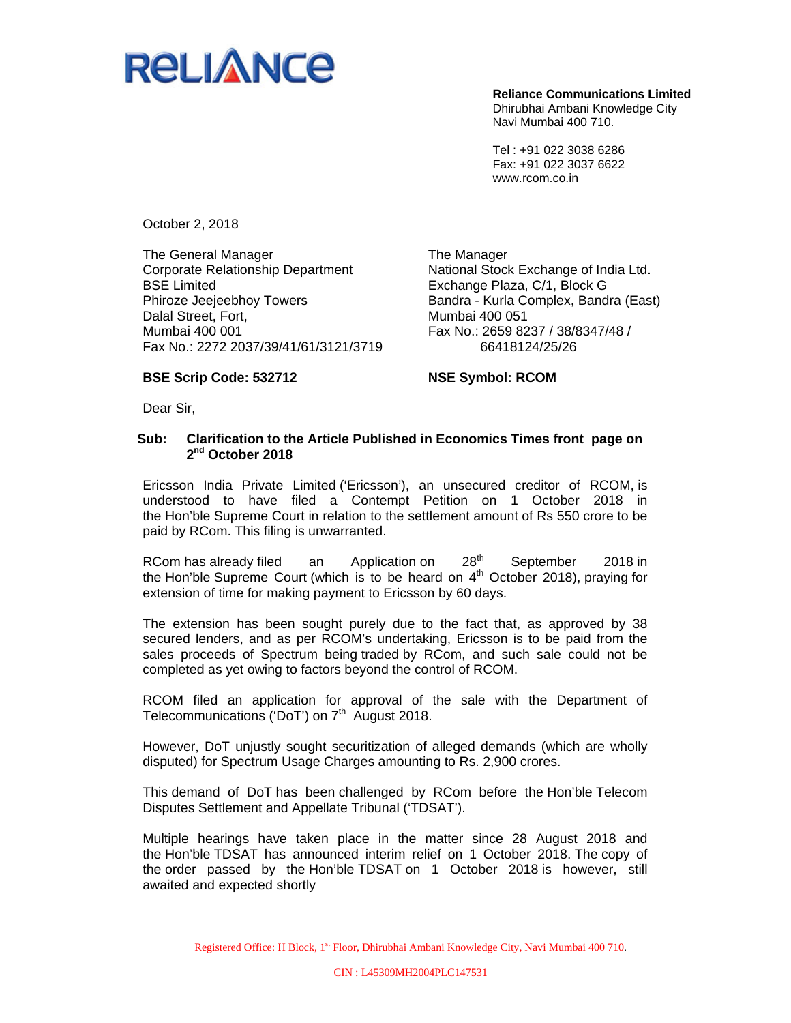

**Reliance Communications Limited**  Dhirubhai Ambani Knowledge City Navi Mumbai 400 710.

Tel : +91 022 3038 6286 Fax: +91 022 3037 6622 www.rcom.co.in

October 2, 2018

The General Manager Corporate Relationship Department BSE Limited Phiroze Jeejeebhoy Towers Dalal Street, Fort, Mumbai 400 001 Fax No.: 2272 2037/39/41/61/3121/3719 The Manager National Stock Exchange of India Ltd. Exchange Plaza, C/1, Block G Bandra - Kurla Complex, Bandra (East) Mumbai 400 051 Fax No.: 2659 8237 / 38/8347/48 / 66418124/25/26

## **BSE Scrip Code: 532712**

**NSE Symbol: RCOM** 

Dear Sir,

## **Sub: Clarification to the Article Published in Economics Times front page on 2nd October 2018**

Ericsson India Private Limited ('Ericsson'), an unsecured creditor of RCOM, is understood to have filed a Contempt Petition on 1 October 2018 in the Hon'ble Supreme Court in relation to the settlement amount of Rs 550 crore to be paid by RCom. This filing is unwarranted.

RCom has already filed an Application on 28<sup>th</sup> September 2018 in the Hon'ble Supreme Court (which is to be heard on  $4<sup>th</sup>$  October 2018), praying for extension of time for making payment to Ericsson by 60 days.

The extension has been sought purely due to the fact that, as approved by 38 secured lenders, and as per RCOM's undertaking, Ericsson is to be paid from the sales proceeds of Spectrum being traded by RCom, and such sale could not be completed as yet owing to factors beyond the control of RCOM.

RCOM filed an application for approval of the sale with the Department of Telecommunications ('DoT') on 7<sup>th</sup> August 2018.

However, DoT unjustly sought securitization of alleged demands (which are wholly disputed) for Spectrum Usage Charges amounting to Rs. 2,900 crores.

This demand of DoT has been challenged by RCom before the Hon'ble Telecom Disputes Settlement and Appellate Tribunal ('TDSAT').

Multiple hearings have taken place in the matter since 28 August 2018 and the Hon'ble TDSAT has announced interim relief on 1 October 2018. The copy of the order passed by the Hon'ble TDSAT on 1 October 2018 is however, still awaited and expected shortly